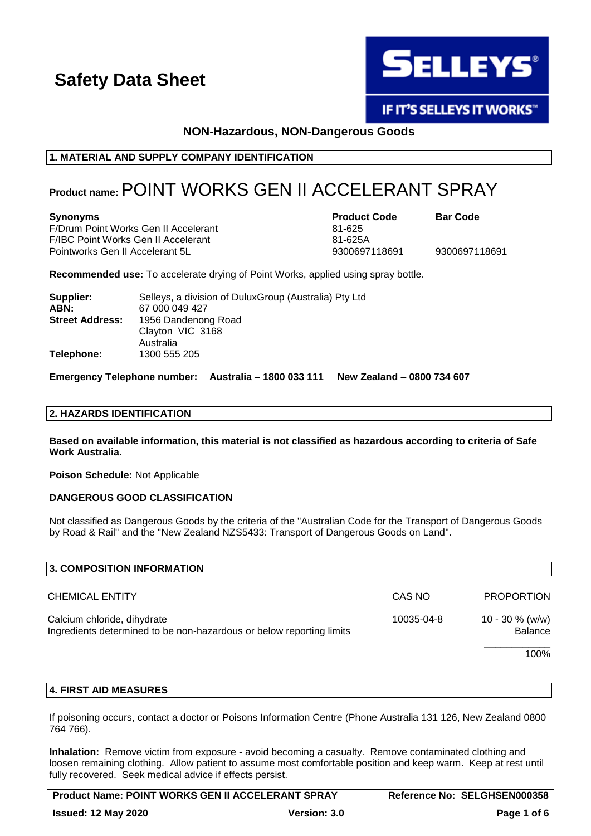

**IF IT'S SELLEYS IT WORKS"** 

### **NON-Hazardous, NON-Dangerous Goods**

### **1. MATERIAL AND SUPPLY COMPANY IDENTIFICATION**

### **Product name:**POINT WORKS GEN II ACCELERANT SPRAY

F/Drum Point Works Gen II Accelerant 81-625 F/IBC Point Works Gen II Accelerant 61-625A Pointworks Gen II Accelerant 5L 9300697118691 9300697118691

**Synonyms Product Code Bar Code**

**Recommended use:** To accelerate drying of Point Works, applied using spray bottle.

| Supplier:              | Selleys, a division of Dulux Group (Australia) Pty Ltd |
|------------------------|--------------------------------------------------------|
| ABN:                   | 67 000 049 427                                         |
| <b>Street Address:</b> | 1956 Dandenong Road                                    |
|                        | Clayton VIC 3168                                       |
|                        | Australia                                              |
| Telephone:             | 1300 555 205                                           |

**Emergency Telephone number: Australia – 1800 033 111 New Zealand – 0800 734 607**

### **2. HAZARDS IDENTIFICATION**

**Based on available information, this material is not classified as hazardous according to criteria of Safe Work Australia.**

**Poison Schedule:** Not Applicable

### **DANGEROUS GOOD CLASSIFICATION**

Not classified as Dangerous Goods by the criteria of the "Australian Code for the Transport of Dangerous Goods by Road & Rail" and the "New Zealand NZS5433: Transport of Dangerous Goods on Land".

| 3. COMPOSITION INFORMATION                                                                          |            |                                      |  |
|-----------------------------------------------------------------------------------------------------|------------|--------------------------------------|--|
| <b>CHEMICAL ENTITY</b>                                                                              | CAS NO     | <b>PROPORTION</b>                    |  |
| Calcium chloride, dihydrate<br>Ingredients determined to be non-hazardous or below reporting limits | 10035-04-8 | $10 - 30 \%$ (w/w)<br><b>Balance</b> |  |
|                                                                                                     |            | 100%                                 |  |

### **4. FIRST AID MEASURES**

If poisoning occurs, contact a doctor or Poisons Information Centre (Phone Australia 131 126, New Zealand 0800 764 766).

**Inhalation:** Remove victim from exposure - avoid becoming a casualty. Remove contaminated clothing and loosen remaining clothing. Allow patient to assume most comfortable position and keep warm. Keep at rest until fully recovered. Seek medical advice if effects persist.

**Product Name: POINT WORKS GEN II ACCELERANT SPRAY Reference No: SELGHSEN000358**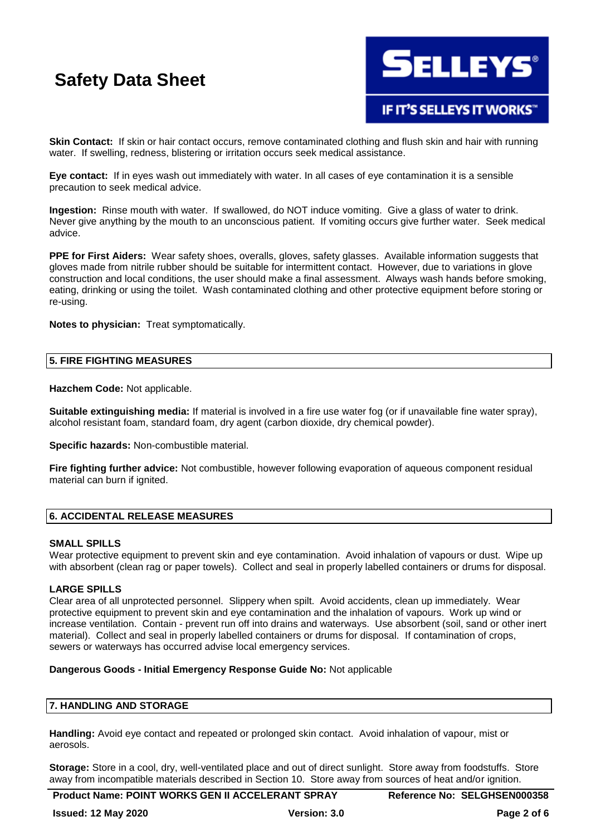

**Skin Contact:** If skin or hair contact occurs, remove contaminated clothing and flush skin and hair with running water. If swelling, redness, blistering or irritation occurs seek medical assistance.

**Eye contact:** If in eyes wash out immediately with water. In all cases of eye contamination it is a sensible precaution to seek medical advice.

**Ingestion:** Rinse mouth with water. If swallowed, do NOT induce vomiting. Give a glass of water to drink. Never give anything by the mouth to an unconscious patient. If vomiting occurs give further water. Seek medical advice.

**PPE for First Aiders:** Wear safety shoes, overalls, gloves, safety glasses. Available information suggests that gloves made from nitrile rubber should be suitable for intermittent contact. However, due to variations in glove construction and local conditions, the user should make a final assessment. Always wash hands before smoking, eating, drinking or using the toilet. Wash contaminated clothing and other protective equipment before storing or re-using.

**Notes to physician:** Treat symptomatically.

### **5. FIRE FIGHTING MEASURES**

**Hazchem Code:** Not applicable.

**Suitable extinguishing media:** If material is involved in a fire use water fog (or if unavailable fine water spray), alcohol resistant foam, standard foam, dry agent (carbon dioxide, dry chemical powder).

**Specific hazards:** Non-combustible material.

**Fire fighting further advice:** Not combustible, however following evaporation of aqueous component residual material can burn if ignited.

### **6. ACCIDENTAL RELEASE MEASURES**

### **SMALL SPILLS**

Wear protective equipment to prevent skin and eye contamination. Avoid inhalation of vapours or dust. Wipe up with absorbent (clean rag or paper towels). Collect and seal in properly labelled containers or drums for disposal.

### **LARGE SPILLS**

Clear area of all unprotected personnel. Slippery when spilt. Avoid accidents, clean up immediately. Wear protective equipment to prevent skin and eye contamination and the inhalation of vapours. Work up wind or increase ventilation. Contain - prevent run off into drains and waterways. Use absorbent (soil, sand or other inert material). Collect and seal in properly labelled containers or drums for disposal. If contamination of crops, sewers or waterways has occurred advise local emergency services.

### **Dangerous Goods - Initial Emergency Response Guide No:** Not applicable

### **7. HANDLING AND STORAGE**

**Handling:** Avoid eye contact and repeated or prolonged skin contact. Avoid inhalation of vapour, mist or aerosols.

**Storage:** Store in a cool, dry, well-ventilated place and out of direct sunlight. Store away from foodstuffs. Store away from incompatible materials described in Section 10. Store away from sources of heat and/or ignition.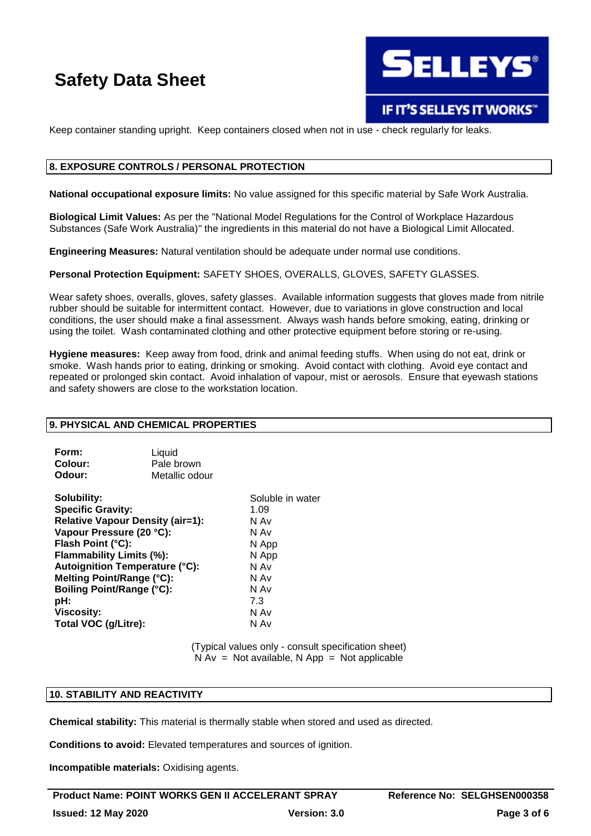

### IF IT'S SELLEYS IT WORKS"

Keep container standing upright. Keep containers closed when not in use - check regularly for leaks.

### **8. EXPOSURE CONTROLS / PERSONAL PROTECTION**

**National occupational exposure limits:** No value assigned for this specific material by Safe Work Australia.

**Biological Limit Values:** As per the "National Model Regulations for the Control of Workplace Hazardous Substances (Safe Work Australia)" the ingredients in this material do not have a Biological Limit Allocated.

**Engineering Measures:** Natural ventilation should be adequate under normal use conditions.

**Personal Protection Equipment:** SAFETY SHOES, OVERALLS, GLOVES, SAFETY GLASSES.

Wear safety shoes, overalls, gloves, safety glasses. Available information suggests that gloves made from nitrile rubber should be suitable for intermittent contact. However, due to variations in glove construction and local conditions, the user should make a final assessment. Always wash hands before smoking, eating, drinking or using the toilet. Wash contaminated clothing and other protective equipment before storing or re-using.

**Hygiene measures:** Keep away from food, drink and animal feeding stuffs. When using do not eat, drink or smoke. Wash hands prior to eating, drinking or smoking. Avoid contact with clothing. Avoid eye contact and repeated or prolonged skin contact. Avoid inhalation of vapour, mist or aerosols. Ensure that eyewash stations and safety showers are close to the workstation location.

### **9. PHYSICAL AND CHEMICAL PROPERTIES**

| Form:   | Liquid         |
|---------|----------------|
| Colour: | Pale brown     |
| Odour:  | Metallic odour |

**Solubility:** Soluble in water **Specific Gravity:** 1.09 **Relative Vapour Density (air=1):** N Av **Vapour Pressure (20 °C):** N Av **Flash Point (°C):** N App **Flammability Limits (%):** N App **Autoignition Temperature (°C):** N Av **Melting Point/Range (°C):** N Av **Boiling Point/Range (°C):** N Av **pH:** 7.3 **Viscosity:** N Av **Total VOC (g/Litre):** N Av

(Typical values only - consult specification sheet)  $N Av = Not available, N App = Not applicable$ 

### **10. STABILITY AND REACTIVITY**

**Chemical stability:** This material is thermally stable when stored and used as directed.

**Conditions to avoid:** Elevated temperatures and sources of ignition.

**Incompatible materials:** Oxidising agents.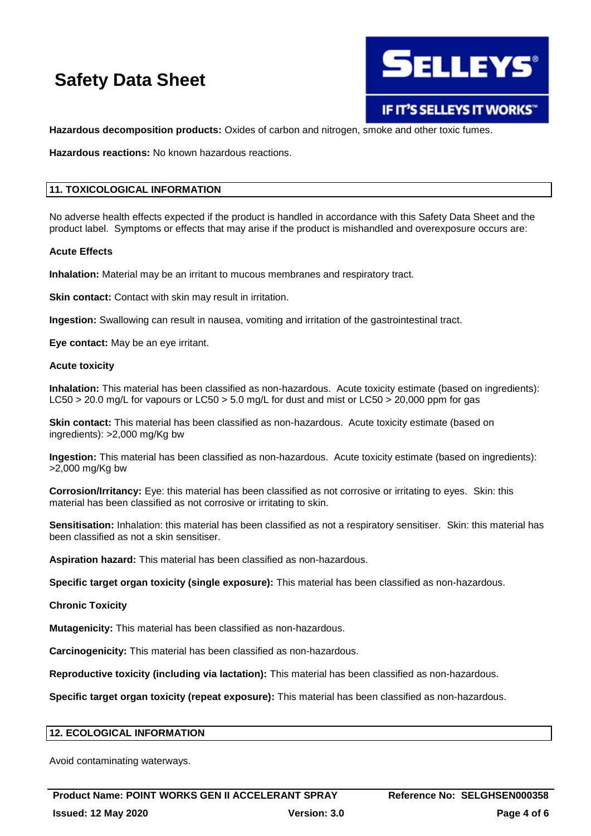

IF IT'S SELLEYS IT WORKS"

**Hazardous decomposition products:** Oxides of carbon and nitrogen, smoke and other toxic fumes.

**Hazardous reactions:** No known hazardous reactions.

### **11. TOXICOLOGICAL INFORMATION**

No adverse health effects expected if the product is handled in accordance with this Safety Data Sheet and the product label. Symptoms or effects that may arise if the product is mishandled and overexposure occurs are:

### **Acute Effects**

**Inhalation:** Material may be an irritant to mucous membranes and respiratory tract.

**Skin contact:** Contact with skin may result in irritation.

**Ingestion:** Swallowing can result in nausea, vomiting and irritation of the gastrointestinal tract.

**Eye contact:** May be an eye irritant.

### **Acute toxicity**

**Inhalation:** This material has been classified as non-hazardous. Acute toxicity estimate (based on ingredients): LC50 > 20.0 mg/L for vapours or LC50 > 5.0 mg/L for dust and mist or LC50 > 20,000 ppm for gas

**Skin contact:** This material has been classified as non-hazardous. Acute toxicity estimate (based on ingredients): >2,000 mg/Kg bw

**Ingestion:** This material has been classified as non-hazardous. Acute toxicity estimate (based on ingredients): >2,000 mg/Kg bw

**Corrosion/Irritancy:** Eye: this material has been classified as not corrosive or irritating to eyes. Skin: this material has been classified as not corrosive or irritating to skin.

**Sensitisation:** Inhalation: this material has been classified as not a respiratory sensitiser. Skin: this material has been classified as not a skin sensitiser.

**Aspiration hazard:** This material has been classified as non-hazardous.

**Specific target organ toxicity (single exposure):** This material has been classified as non-hazardous.

### **Chronic Toxicity**

**Mutagenicity:** This material has been classified as non-hazardous.

**Carcinogenicity:** This material has been classified as non-hazardous.

**Reproductive toxicity (including via lactation):** This material has been classified as non-hazardous.

**Specific target organ toxicity (repeat exposure):** This material has been classified as non-hazardous.

### **12. ECOLOGICAL INFORMATION**

Avoid contaminating waterways.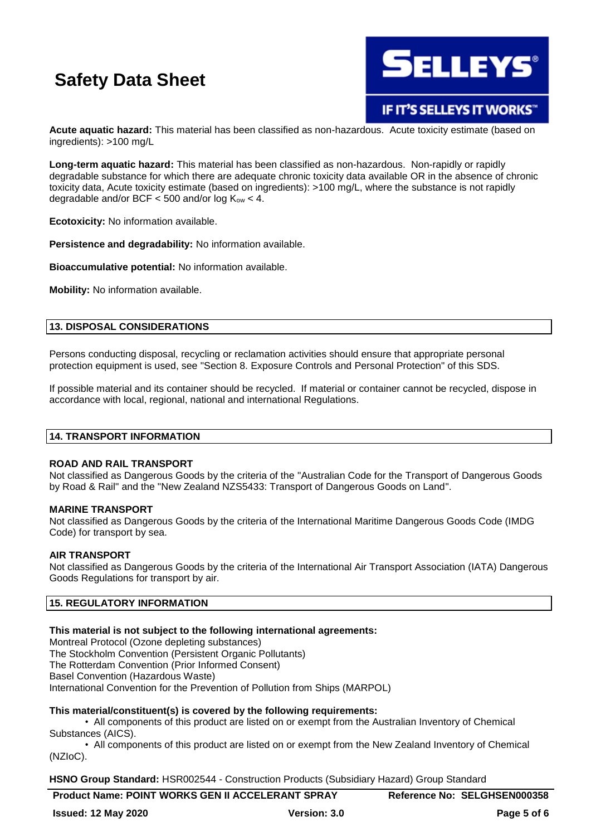

IF IT'S SELLEYS IT WORKS"

**Acute aquatic hazard:** This material has been classified as non-hazardous. Acute toxicity estimate (based on ingredients): >100 mg/L

**Long-term aquatic hazard:** This material has been classified as non-hazardous. Non-rapidly or rapidly degradable substance for which there are adequate chronic toxicity data available OR in the absence of chronic toxicity data, Acute toxicity estimate (based on ingredients): >100 mg/L, where the substance is not rapidly degradable and/or BCF  $<$  500 and/or log  $K_{ow}$   $<$  4.

**Ecotoxicity:** No information available.

**Persistence and degradability:** No information available.

**Bioaccumulative potential:** No information available.

**Mobility:** No information available.

### **13. DISPOSAL CONSIDERATIONS**

Persons conducting disposal, recycling or reclamation activities should ensure that appropriate personal protection equipment is used, see "Section 8. Exposure Controls and Personal Protection" of this SDS.

If possible material and its container should be recycled. If material or container cannot be recycled, dispose in accordance with local, regional, national and international Regulations.

### **14. TRANSPORT INFORMATION**

### **ROAD AND RAIL TRANSPORT**

Not classified as Dangerous Goods by the criteria of the "Australian Code for the Transport of Dangerous Goods by Road & Rail" and the "New Zealand NZS5433: Transport of Dangerous Goods on Land".

### **MARINE TRANSPORT**

Not classified as Dangerous Goods by the criteria of the International Maritime Dangerous Goods Code (IMDG Code) for transport by sea.

### **AIR TRANSPORT**

Not classified as Dangerous Goods by the criteria of the International Air Transport Association (IATA) Dangerous Goods Regulations for transport by air.

### **15. REGULATORY INFORMATION**

### **This material is not subject to the following international agreements:**

Montreal Protocol (Ozone depleting substances) The Stockholm Convention (Persistent Organic Pollutants) The Rotterdam Convention (Prior Informed Consent) Basel Convention (Hazardous Waste) International Convention for the Prevention of Pollution from Ships (MARPOL)

### **This material/constituent(s) is covered by the following requirements:**

• All components of this product are listed on or exempt from the Australian Inventory of Chemical Substances (AICS).

• All components of this product are listed on or exempt from the New Zealand Inventory of Chemical (NZIoC).

**HSNO Group Standard:** HSR002544 - Construction Products (Subsidiary Hazard) Group Standard